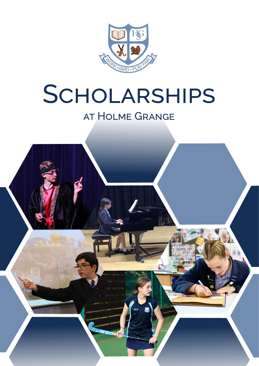

# SCHOLARSHIPS

## at Holme Grange

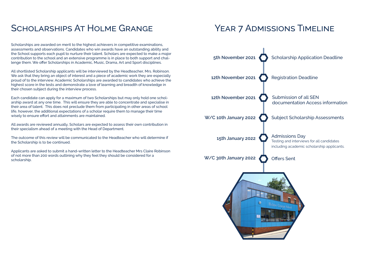## SCHOLARSHIPS AT HOLME GRANGE YEAR 7 ADMISSIONS TIMELINE

Scholarships are awarded on merit to the highest achievers in competitive examinations, assessments and observations. Candidates who win awards have an outstanding ability and the School supports each pupil to nurture their talent. Scholars are expected to make a major contribution to the school and an extensive programme is in place to both support and challenge them. We offer Scholarships in Academic, Music, Drama, Art and Sport disciplines.

All shortlisted Scholarship applicants will be interviewed by the Headteacher, Mrs. Robinson. We ask that they bring an object of interest and a piece of academic work they are especially proud of to the interview. Academic Scholarships are awarded to candidates who achieve the highest score in the tests and demonstrate a love of learning and breadth of knowledge in their chosen subject during the interview process.

Each candidate can apply for a maximum of two Scholarships but may only hold one scholarship award at any one time. This will ensure they are able to concentrate and specialise in their area of talent. This does not preclude them from participating in other areas of school life, however, the additional expectations of a scholar require them to manage their time wisely to ensure effort and attainments are maintained.

All awards are reviewed annually, Scholars are expected to assess their own contribution in their specialism ahead of a meeting with the Head of Department.

The outcome of this review will be communicated to the Headteacher who will determine if the Scholarship is to be continued.

Applicants are asked to submit a hand-written letter to the Headteacher Mrs Claire Robinson of not more than 200 words outlining why they feel they should be considered for a scholarship.

documentation Access information



Testing and interviews for all candidates including academic scholarship applicants.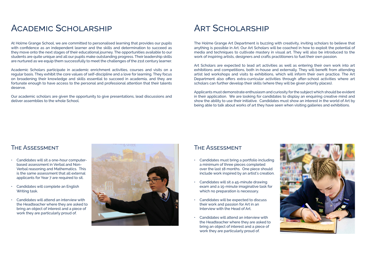## Academic Scholarship

At Holme Grange School, we are committed to personalised learning that provides our pupils with confidence as an independent learner and the skills and determination to succeed as they move onto the next stages of their educational journey. The opportunities available to our students are quite unique and all our pupils make outstanding progress. Their leadership skills are nurtured as we equip them successfully to meet the challenges of the 21st century learner.

Academic Scholars participate in academic enrichment activities, courses and visits on a regular basis. They exhibit the core values of self-discipline and a love for learning. They focus on broadening their knowledge and skills essential to succeed in academia, and they are fortunate enough to have access to the personal and professional attention that their talents deserve.

Our academic scholars are given the opportunity to give presentations, lead discussions and deliver assemblies to the whole School.

## ART SCHOLARSHIP

#### The Assessment

- Candidates will sit a one-hour computerbased assessment in Verbal and Non-Verbal reasoning and Mathematics. This is the same assessment that all external applicants for Year 7 are required to sit.
- Candidates will complete an English Writing task.
- Candidates will attend an interview with the Headteacher where they are asked to bring an object of interest and a piece of work they are particularly proud of.



The Holme Grange Art Department is buzzing with creativity, inviting scholars to believe that anything is possible in Art. Our Art Scholars will be coached in how to exploit the potential of media and techniques to cultivate mastery in visual art. They will also be introduced to the work of inspiring artists, designers and crafts practitioners to fuel their own passion.

Art Scholars are expected to lead art activities as well as entering their own work into art exhibitions and competitions, both in-house and externally. They will benefit from attending artist led workshops and visits to exhibitions, which will inform their own practice. The Art Department also offers extra-curricular activities through after-school activities where art scholars can further develop their skills (where they will be given priority places).

Applicants must demonstrate enthusiasm and curiosity for the subject which should be evident in their application. We are looking for candidates to display an enquiring creative mind and show the ability to use their initiative. Candidates must show an interest in the world of Art by being able to talk about works of art they have seen when visiting galleries and exhibitions.

#### The Assessment

- Candidates must bring a portfolio including a minimum of three pieces completed over the last 18 months. One piece should include work inspired by an artist's creation.
- Candidates will sit a 45-minute drawing exam and a 15-minute imaginative task for which no preparation is necessary.
- Candidates will be expected to discuss their work and passion for Art in an Interview with the Head of Art.
- Candidates will attend an interview with the Headteacher where they are asked to bring an object of interest and a piece of work they are particularly proud of.

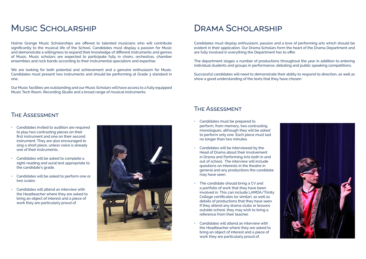## MUSIC SCHOLARSHIP

Holme Grange Music Scholarships are offered to talented musicians who will contribute significantly to the musical life of the School. Candidates must display a passion for Music and demonstrate a willingness to expand their knowledge of different instruments and genres of Music. Music scholars are expected to participate fully in choirs, orchestras, chamber ensembles and rock bands according to their instrumental specialism and expertise.

We are looking for both potential and achievement and a genuine enthusiasm for Music. Candidates must present two instruments and should be performing at Grade 3 standard in one.

Our Music facilities are outstanding and our Music Scholars will have access to a fully equipped Music Tech Room, Recording Studio and a broad range of musical instruments.

## DRAMA SCHOLARSHIP

#### The Assessment

- Candidates invited to audition are required to play two contrasting pieces on their first instrument and one on their second instrument. They are also encouraged to sing a short piece, unless voice is already one of their instruments.
- Candidates will be asked to complete a sight-reading and aural test appropriate to the candidate's grade.
- Candidates will be asked to perform one or two scales.
- Candidates will attend an interview with the Headteacher where they are asked to bring an object of interest and a piece of work they are particularly proud of.



Candidates must display enthusiasm, passion and a love of performing arts which should be evident in their application. Our Drama Scholars form the heart of the Drama Department and are fully involved in everything the Department has to offer.

The department stages a number of productions throughout the year in addition to entering individual students and groups in performance, debating and public speaking competitions.

Successful candidates will need to demonstrate their ability to respond to direction, as well as show a good understanding of the texts that they have chosen.

### The Assessment

- Candidates must be prepared to perform, from memory, two contrasting monologues, although they will be asked to perform only one. Each piece must last no longer than two minutes.
- Candidates will be interviewed by the Head of Drama about their involvement in Drama and Performing Arts both in and out of school. The interview will include questions on interests in the theatre in general and any productions the candidate may have seen.
- The candidate should bring a CV and a portfolio of work that they have been involved in. This can include LAMDA/Trinity College certificates (or similar), as well as details of productions that they have seen. If they attend any drama clubs or lessons outside school, they may wish to bring a reference from their teacher.
- Candidates will attend an interview with the Headteacher where they are asked to bring an object of interest and a piece of work they are particularly proud of.